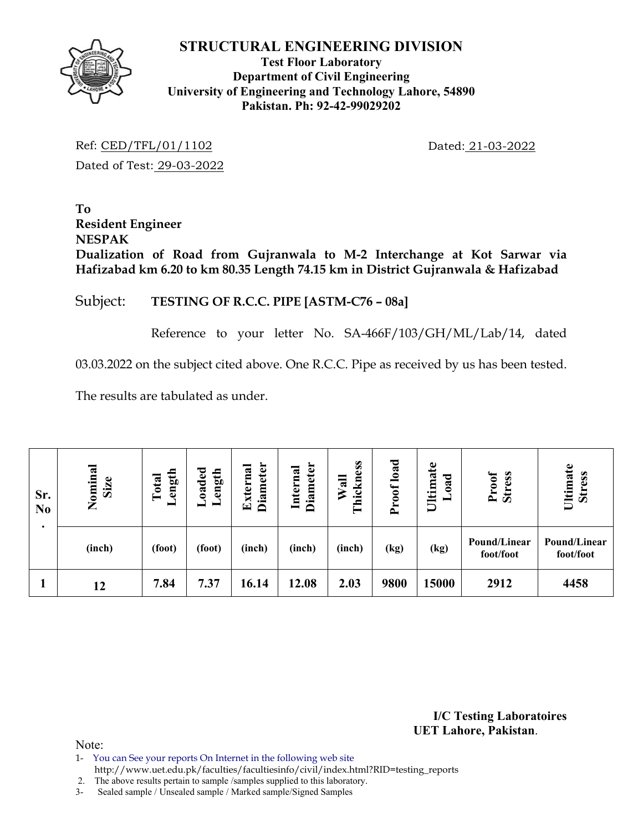

#### **Test Floor Laboratory Department of Civil Engineering University of Engineering and Technology Lahore, 54890 Pakistan. Ph: 92-42-99029202**

Ref: CED/TFL/01/1102 Dated: 21-03-2022 Dated of Test: 29-03-2022

**To Resident Engineer NESPAK Dualization of Road from Gujranwala to M-2 Interchange at Kot Sarwar via Hafizabad km 6.20 to km 80.35 Length 74.15 km in District Gujranwala & Hafizabad** 

## Subject: **TESTING OF R.C.C. PIPE [ASTM-C76 – 08a]**

Reference to your letter No. SA-466F/103/GH/ML/Lab/14, dated

03.03.2022 on the subject cited above. One R.C.C. Pipe as received by us has been tested.

The results are tabulated as under.

| Sr.<br>N <sub>0</sub> | Nominal<br>Size | ength<br>Total<br>▬ | Loaded<br>Length | <b>Diameter</b><br>Externa | <b>Diameter</b><br>Internal | hickness<br>Wall<br>F | load<br>roof<br>$\rightarrow$ | Ultimate<br>ಕ<br>$\ddot{\mathbf{a}}$ | Proof<br><b>Stress</b>    | Ultimate<br><b>Stress</b> |
|-----------------------|-----------------|---------------------|------------------|----------------------------|-----------------------------|-----------------------|-------------------------------|--------------------------------------|---------------------------|---------------------------|
|                       | (inch)          | (foot)              | (foot)           | (inch)                     | (inch)                      | (inch)                | (kg)                          | (kg)                                 | Pound/Linear<br>foot/foot | Pound/Linear<br>foot/foot |
|                       | 12              | 7.84                | 7.37             | 16.14                      | 12.08                       | 2.03                  | 9800                          | 15000                                | 2912                      | 4458                      |

**I/C Testing Laboratoires UET Lahore, Pakistan**.

Note:

- 1- You can See your reports On Internet in the following web site
- http://www.uet.edu.pk/faculties/facultiesinfo/civil/index.html?RID=testing\_reports

2. The above results pertain to sample /samples supplied to this laboratory.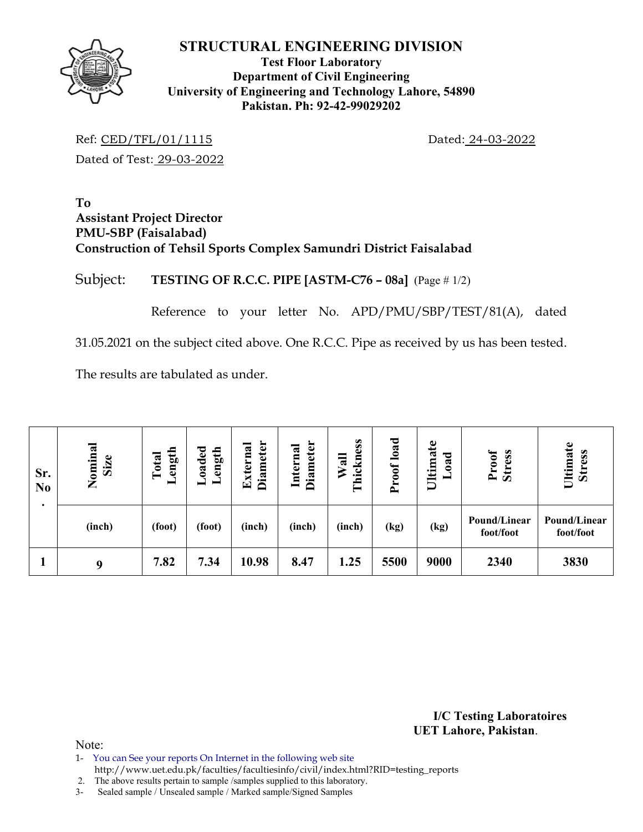

#### **Test Floor Laboratory Department of Civil Engineering University of Engineering and Technology Lahore, 54890 Pakistan. Ph: 92-42-99029202**

Ref: CED/TFL/01/1115 Dated: 24-03-2022 Dated of Test: 29-03-2022

#### **To Assistant Project Director PMU-SBP (Faisalabad) Construction of Tehsil Sports Complex Samundri District Faisalabad**

# Subject: **TESTING OF R.C.C. PIPE [ASTM-C76 – 08a]** (Page # 1/2)

Reference to your letter No. APD/PMU/SBP/TEST/81(A), dated

31.05.2021 on the subject cited above. One R.C.C. Pipe as received by us has been tested.

The results are tabulated as under.

| Sr.<br>N <sub>0</sub> | Nominal<br>Size | oaded<br>ength<br>ength<br>Total<br>–<br>- |        | <b>Diameter</b><br><b>Diameter</b><br>Internal<br>ಡ<br><b>Extern:</b> |        | hickness<br>Wall<br>۳ | roof load<br>≏ | Ultimate<br>ರ<br>$\ddot{\mathbf{a}}$<br>− | <b>Stress</b><br>Proof    | Ultimate<br><b>Stress</b> |
|-----------------------|-----------------|--------------------------------------------|--------|-----------------------------------------------------------------------|--------|-----------------------|----------------|-------------------------------------------|---------------------------|---------------------------|
|                       | (inch)          | (foot)                                     | (foot) | (inch)                                                                | (inch) | (inch)                | (kg)           | (kg)                                      | Pound/Linear<br>foot/foot | Pound/Linear<br>foot/foot |
|                       | 9               | 7.82                                       | 7.34   | 10.98                                                                 | 8.47   | 1.25                  | 5500           | 9000                                      | 2340                      | 3830                      |

**I/C Testing Laboratoires UET Lahore, Pakistan**.

Note:

1- You can See your reports On Internet in the following web site

http://www.uet.edu.pk/faculties/facultiesinfo/civil/index.html?RID=testing\_reports

2. The above results pertain to sample /samples supplied to this laboratory.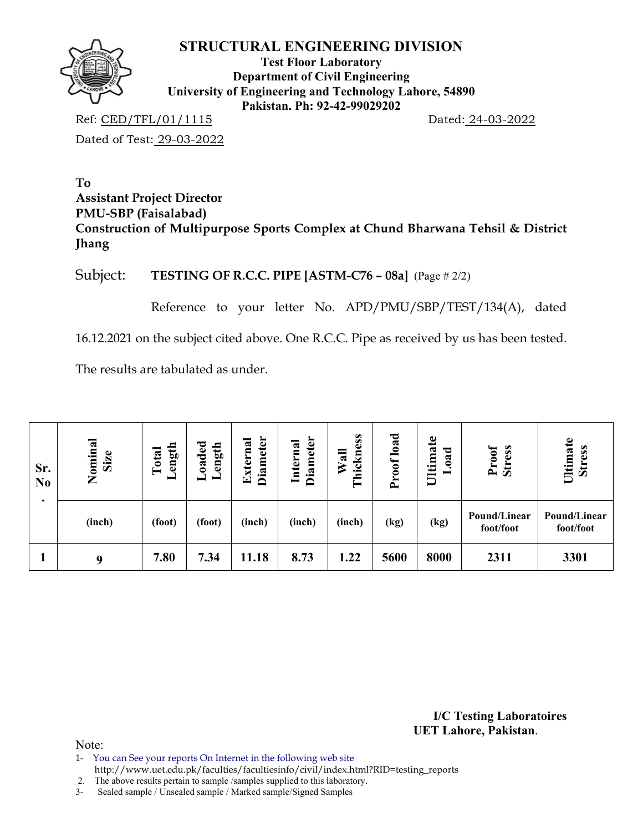

**Test Floor Laboratory Department of Civil Engineering University of Engineering and Technology Lahore, 54890 Pakistan. Ph: 92-42-99029202** 

Ref: CED/TFL/01/1115 Dated: 24-03-2022

Dated of Test: 29-03-2022

# **To Assistant Project Director PMU-SBP (Faisalabad) Construction of Multipurpose Sports Complex at Chund Bharwana Tehsil & District Jhang**

Subject: **TESTING OF R.C.C. PIPE [ASTM-C76 – 08a]** (Page # 2/2)

Reference to your letter No. APD/PMU/SBP/TEST/134(A), dated

16.12.2021 on the subject cited above. One R.C.C. Pipe as received by us has been tested.

The results are tabulated as under.

| Sr.<br>N <sub>0</sub> | Nominal<br><b>Size</b> | ength<br>Total<br>— | oaded<br>ength<br>- | <b>Diameter</b><br>Externa | <b>Diameter</b><br>Internal | Thickness<br>$W$ all | load<br>Proof | Ultimate<br>bad<br>− | Proof<br><b>Stress</b>    | Ultimate<br><b>Stress</b> |  |
|-----------------------|------------------------|---------------------|---------------------|----------------------------|-----------------------------|----------------------|---------------|----------------------|---------------------------|---------------------------|--|
|                       | (inch)                 | (foot)              | (foot)              | (inch)                     | (inch)                      | (inch)               | (kg)          | (kg)                 | Pound/Linear<br>foot/foot | Pound/Linear<br>foot/foot |  |
|                       | 9                      | 7.80                | 7.34                | 11.18                      | 8.73                        | 1.22                 | 5600          | 8000                 | 2311                      | 3301                      |  |

**I/C Testing Laboratoires UET Lahore, Pakistan**.

Note:

1- You can See your reports On Internet in the following web site http://www.uet.edu.pk/faculties/facultiesinfo/civil/index.html?RID=testing\_reports

2. The above results pertain to sample /samples supplied to this laboratory.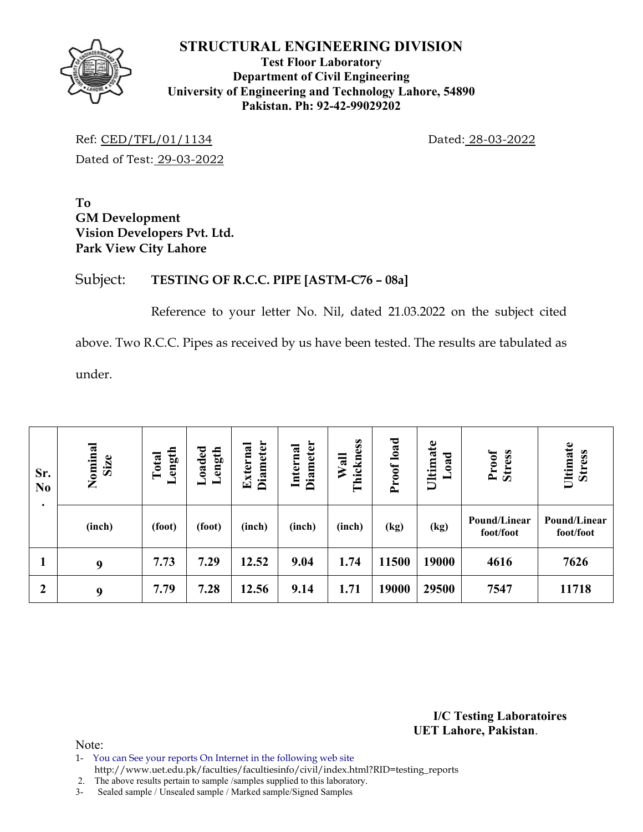

#### **Test Floor Laboratory Department of Civil Engineering University of Engineering and Technology Lahore, 54890 Pakistan. Ph: 92-42-99029202**

Ref: CED/TFL/01/1134 Dated: 28-03-2022 Dated of Test: 29-03-2022

**To GM Development Vision Developers Pvt. Ltd. Park View City Lahore** 

# Subject: **TESTING OF R.C.C. PIPE [ASTM-C76 – 08a]**

Reference to your letter No. Nil, dated 21.03.2022 on the subject cited above. Two R.C.C. Pipes as received by us have been tested. The results are tabulated as under.

| Sr.<br>N <sub>0</sub> | Nominal<br>Size | Length<br>Total | baded.<br>ength | <b>Diameter</b><br>External | <b>Diameter</b><br>Internal | Thickness<br>Wall | Proof load | Ultimate<br>bad<br>━ | Proof<br><b>Stress</b>    | Ultimate<br><b>Stress</b> |
|-----------------------|-----------------|-----------------|-----------------|-----------------------------|-----------------------------|-------------------|------------|----------------------|---------------------------|---------------------------|
| ٠                     | (inch)          | (foot)          | (foot)          | (inch)                      | (inch)                      | (inch)            | (kg)       | (kg)                 | Pound/Linear<br>foot/foot | Pound/Linear<br>foot/foot |
| л                     | 9               | 7.73            | 7.29            | 12.52                       | 9.04                        | 1.74              | 11500      | 19000                | 4616                      | 7626                      |
| $\mathbf{2}$          | 9               | 7.79            | 7.28            | 12.56                       | 9.14                        | 1.71              | 19000      | 29500                | 7547                      | 11718                     |

**I/C Testing Laboratoires UET Lahore, Pakistan**.

Note:

- 1- You can See your reports On Internet in the following web site
- http://www.uet.edu.pk/faculties/facultiesinfo/civil/index.html?RID=testing\_reports

2. The above results pertain to sample /samples supplied to this laboratory.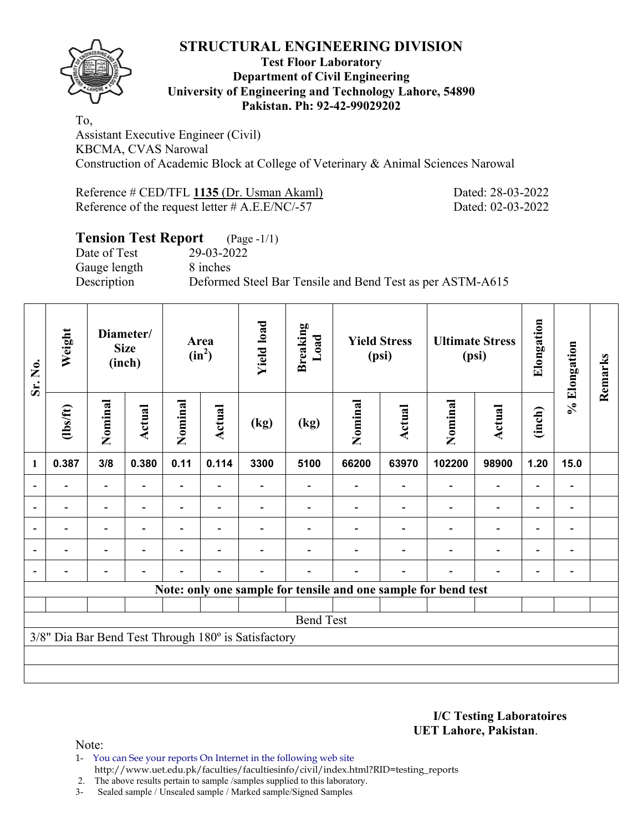

#### **Test Floor Laboratory Department of Civil Engineering University of Engineering and Technology Lahore, 54890 Pakistan. Ph: 92-42-99029202**

To, Assistant Executive Engineer (Civil) KBCMA, CVAS Narowal Construction of Academic Block at College of Veterinary & Animal Sciences Narowal

| Reference # CED/TFL 1135 (Dr. Usman Akaml)        | Dated: 28-03-2022 |
|---------------------------------------------------|-------------------|
| Reference of the request letter $\#$ A.E.E/NC/-57 | Dated: 02-03-2022 |

# **Tension Test Report** (Page -1/1)

Date of Test 29-03-2022 Gauge length 8 inches

Description Deformed Steel Bar Tensile and Bend Test as per ASTM-A615

| Sr. No.        | Weight   | Diameter/<br><b>Size</b><br>(inch) |        | Area<br>$(in^2)$ |                | <b>Yield load</b>                                   | <b>Breaking</b><br>Load | <b>Yield Stress</b><br>(psi) |        |                                                                | <b>Ultimate Stress</b><br>(psi) | Elongation               | % Elongation             | Remarks |
|----------------|----------|------------------------------------|--------|------------------|----------------|-----------------------------------------------------|-------------------------|------------------------------|--------|----------------------------------------------------------------|---------------------------------|--------------------------|--------------------------|---------|
|                | (1bs/ft) | Nominal                            | Actual | Nominal          | <b>Actual</b>  | (kg)                                                | (kg)                    | Nominal                      | Actual | Nominal                                                        | Actual                          | (inch)                   |                          |         |
| 1              | 0.387    | 3/8                                | 0.380  | 0.11             | 0.114          | 3300                                                | 5100                    | 66200                        | 63970  | 102200                                                         | 98900                           | 1.20                     | 15.0                     |         |
|                |          |                                    |        |                  |                |                                                     |                         |                              |        |                                                                | $\overline{\phantom{0}}$        |                          |                          |         |
|                |          | $\overline{\phantom{0}}$           |        |                  |                |                                                     |                         |                              |        |                                                                | $\overline{\phantom{0}}$        | $\overline{\phantom{0}}$ |                          |         |
| $\blacksquare$ |          | Ξ.                                 |        |                  | $\blacksquare$ |                                                     |                         |                              |        |                                                                | $\blacksquare$                  | $\overline{\phantom{0}}$ | $\overline{\phantom{0}}$ |         |
|                |          | $\blacksquare$                     |        |                  | $\blacksquare$ |                                                     |                         |                              |        |                                                                | $\overline{\phantom{0}}$        | $\overline{a}$           |                          |         |
|                |          | $\overline{\phantom{0}}$           |        |                  | $\blacksquare$ |                                                     |                         |                              |        |                                                                | $\overline{a}$                  | $\overline{a}$           |                          |         |
|                |          |                                    |        |                  |                |                                                     |                         |                              |        | Note: only one sample for tensile and one sample for bend test |                                 |                          |                          |         |
|                |          |                                    |        |                  |                |                                                     |                         |                              |        |                                                                |                                 |                          |                          |         |
|                |          |                                    |        |                  |                |                                                     | <b>Bend Test</b>        |                              |        |                                                                |                                 |                          |                          |         |
|                |          |                                    |        |                  |                | 3/8" Dia Bar Bend Test Through 180° is Satisfactory |                         |                              |        |                                                                |                                 |                          |                          |         |
|                |          |                                    |        |                  |                |                                                     |                         |                              |        |                                                                |                                 |                          |                          |         |
|                |          |                                    |        |                  |                |                                                     |                         |                              |        |                                                                |                                 |                          |                          |         |

**I/C Testing Laboratoires UET Lahore, Pakistan**.

Note:

1- You can See your reports On Internet in the following web site http://www.uet.edu.pk/faculties/facultiesinfo/civil/index.html?RID=testing\_reports

2. The above results pertain to sample /samples supplied to this laboratory.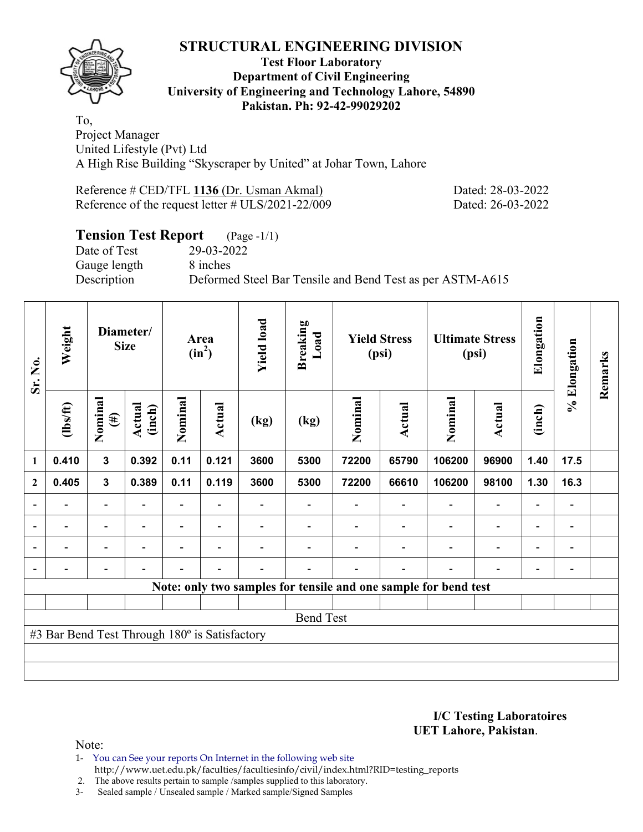

#### **Test Floor Laboratory Department of Civil Engineering University of Engineering and Technology Lahore, 54890 Pakistan. Ph: 92-42-99029202**

To, Project Manager United Lifestyle (Pvt) Ltd A High Rise Building "Skyscraper by United" at Johar Town, Lahore

Reference # CED/TFL **1136** (Dr. Usman Akmal) Dated: 28-03-2022 Reference of the request letter # ULS/2021-22/009 Dated: 26-03-2022

# **Tension Test Report** (Page -1/1)<br>Date of Test 29-03-2022

Gauge length 8 inches

29-03-2022 Description Deformed Steel Bar Tensile and Bend Test as per ASTM-A615

| Sr. No.          | Weight                                        | Diameter/<br><b>Size</b> |                          | Area<br>$(in^2)$         |                          | <b>Yield load</b><br><b>Breaking</b><br>Load<br><b>Yield Stress</b><br>(psi) |      |         | <b>Ultimate Stress</b><br>(psi) | Elongation                                                      | % Elongation             | Remarks                  |                              |  |
|------------------|-----------------------------------------------|--------------------------|--------------------------|--------------------------|--------------------------|------------------------------------------------------------------------------|------|---------|---------------------------------|-----------------------------------------------------------------|--------------------------|--------------------------|------------------------------|--|
|                  | $\frac{2}{10}$                                | Nominal<br>$(\#)$        | Actual<br>(inch)         | Nominal                  | Actual                   | (kg)                                                                         | (kg) | Nominal | Actual                          | Nominal                                                         | <b>Actual</b>            | (inch)                   |                              |  |
| $\mathbf{1}$     | 0.410                                         | $\mathbf{3}$             | 0.392                    | 0.11                     | 0.121                    | 3600                                                                         | 5300 | 72200   | 65790                           | 106200                                                          | 96900                    | 1.40                     | 17.5                         |  |
| $\boldsymbol{2}$ | 0.405                                         | $\mathbf{3}$             | 0.389                    | 0.11                     | 0.119                    | 3600                                                                         | 5300 | 72200   | 66610                           | 106200                                                          | 98100                    | 1.30                     | 16.3                         |  |
| $\overline{a}$   | -                                             | $\overline{\phantom{a}}$ |                          |                          |                          |                                                                              |      |         |                                 | $\blacksquare$                                                  | $\blacksquare$           | $\overline{\phantom{a}}$ | $\qquad \qquad \blacksquare$ |  |
| $\overline{a}$   | -                                             | $\overline{\phantom{a}}$ | $\overline{\phantom{a}}$ | $\overline{\phantom{0}}$ | $\overline{\phantom{a}}$ |                                                                              |      |         | $\overline{\phantom{a}}$        | $\blacksquare$                                                  | $\overline{\phantom{a}}$ | $\overline{\phantom{a}}$ | $\qquad \qquad \blacksquare$ |  |
| $\blacksquare$   | $\overline{\phantom{0}}$                      | $\overline{\phantom{a}}$ | $\blacksquare$           | $\overline{\phantom{0}}$ | $\overline{\phantom{a}}$ |                                                                              |      |         |                                 | $\overline{\phantom{0}}$                                        | $\overline{a}$           | $\overline{\phantom{0}}$ | $\overline{\phantom{0}}$     |  |
|                  | $\blacksquare$                                | -                        | $\overline{\phantom{0}}$ | $\overline{\phantom{0}}$ | $\blacksquare$           | $\overline{\phantom{0}}$                                                     |      |         | $\overline{\phantom{a}}$        | $\overline{\phantom{0}}$                                        | $\overline{a}$           | $\overline{\phantom{a}}$ | $\blacksquare$               |  |
|                  |                                               |                          |                          |                          |                          |                                                                              |      |         |                                 | Note: only two samples for tensile and one sample for bend test |                          |                          |                              |  |
|                  |                                               |                          |                          |                          |                          |                                                                              |      |         |                                 |                                                                 |                          |                          |                              |  |
|                  | <b>Bend Test</b>                              |                          |                          |                          |                          |                                                                              |      |         |                                 |                                                                 |                          |                          |                              |  |
|                  | #3 Bar Bend Test Through 180° is Satisfactory |                          |                          |                          |                          |                                                                              |      |         |                                 |                                                                 |                          |                          |                              |  |
|                  |                                               |                          |                          |                          |                          |                                                                              |      |         |                                 |                                                                 |                          |                          |                              |  |
|                  |                                               |                          |                          |                          |                          |                                                                              |      |         |                                 |                                                                 |                          |                          |                              |  |

**I/C Testing Laboratoires UET Lahore, Pakistan**.

Note:

1- You can See your reports On Internet in the following web site http://www.uet.edu.pk/faculties/facultiesinfo/civil/index.html?RID=testing\_reports

2. The above results pertain to sample /samples supplied to this laboratory.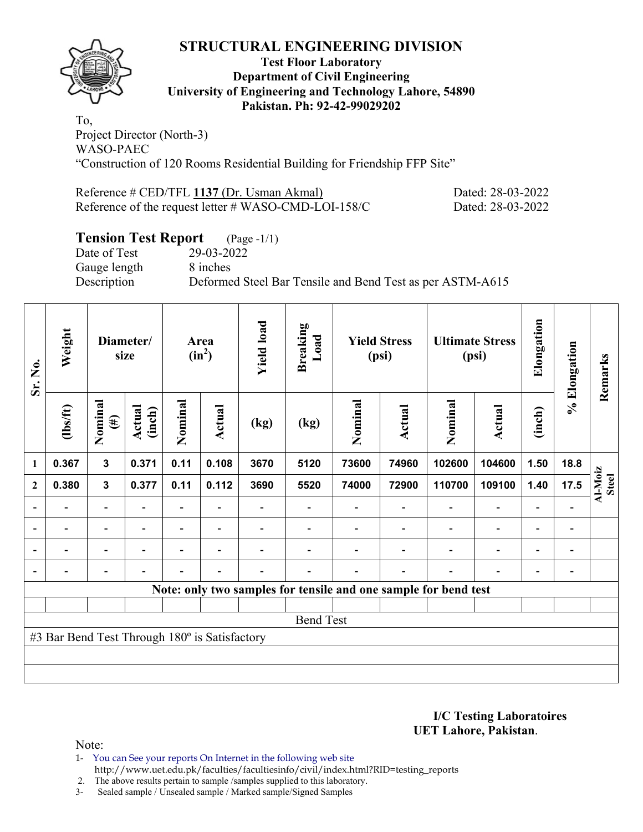

#### **Test Floor Laboratory Department of Civil Engineering University of Engineering and Technology Lahore, 54890 Pakistan. Ph: 92-42-99029202**

To, Project Director (North-3) WASO-PAEC "Construction of 120 Rooms Residential Building for Friendship FFP Site"

| Reference # CED/TFL 1137 (Dr. Usman Akmal)           | Dated: 28-03-2022 |
|------------------------------------------------------|-------------------|
| Reference of the request letter # WASO-CMD-LOI-158/C | Dated: 28-03-2022 |

# **Tension Test Report** (Page -1/1)

Date of Test 29-03-2022 Gauge length 8 inches

Description Deformed Steel Bar Tensile and Bend Test as per ASTM-A615

| Sr. No.                  | Weight                                        | Diameter/<br>size        |                  | <b>Yield load</b><br>Area<br>$(in^2)$ |                | <b>Breaking</b><br>Load  | <b>Yield Stress</b><br>(psi)                                    |         |        | <b>Ultimate Stress</b><br>(psi) | Elongation               | % Elongation             | Remarks                      |                         |
|--------------------------|-----------------------------------------------|--------------------------|------------------|---------------------------------------|----------------|--------------------------|-----------------------------------------------------------------|---------|--------|---------------------------------|--------------------------|--------------------------|------------------------------|-------------------------|
|                          | $\frac{2}{10}$                                | Nominal<br>$(\#)$        | Actual<br>(inch) | Nominal                               | Actual         | (kg)                     | (kg)                                                            | Nominal | Actual | Nominal                         | Actual                   | (inch)                   |                              |                         |
| $\mathbf{1}$             | 0.367                                         | 3                        | 0.371            | 0.11                                  | 0.108          | 3670                     | 5120                                                            | 73600   | 74960  | 102600                          | 104600                   | 1.50                     | 18.8                         |                         |
| $\mathbf{2}$             | 0.380                                         | $\mathbf{3}$             | 0.377            | 0.11                                  | 0.112          | 3690                     | 5520                                                            | 74000   | 72900  | 110700                          | 109100                   | 1.40                     | 17.5                         | Al-Moiz<br><b>Steel</b> |
|                          |                                               | $\overline{\phantom{0}}$ |                  |                                       |                |                          |                                                                 |         |        |                                 |                          |                          |                              |                         |
| $\overline{\phantom{a}}$ | $\overline{\phantom{a}}$                      | -                        | $\blacksquare$   | $\blacksquare$                        | $\blacksquare$ |                          |                                                                 |         |        |                                 | $\overline{\phantom{0}}$ | $\overline{\phantom{a}}$ | $\qquad \qquad \blacksquare$ |                         |
| $\blacksquare$           | $\blacksquare$                                | $\overline{\phantom{0}}$ |                  | $\blacksquare$                        | ۰              |                          |                                                                 |         |        |                                 | $\overline{\phantom{0}}$ | $\overline{\phantom{0}}$ | $\qquad \qquad \blacksquare$ |                         |
|                          |                                               | $\overline{\phantom{0}}$ |                  | -                                     | ۰              | $\overline{\phantom{0}}$ |                                                                 |         |        |                                 | $\overline{\phantom{0}}$ | $\overline{\phantom{0}}$ |                              |                         |
|                          |                                               |                          |                  |                                       |                |                          | Note: only two samples for tensile and one sample for bend test |         |        |                                 |                          |                          |                              |                         |
|                          |                                               |                          |                  |                                       |                |                          |                                                                 |         |        |                                 |                          |                          |                              |                         |
|                          | <b>Bend Test</b>                              |                          |                  |                                       |                |                          |                                                                 |         |        |                                 |                          |                          |                              |                         |
|                          | #3 Bar Bend Test Through 180° is Satisfactory |                          |                  |                                       |                |                          |                                                                 |         |        |                                 |                          |                          |                              |                         |
|                          |                                               |                          |                  |                                       |                |                          |                                                                 |         |        |                                 |                          |                          |                              |                         |
|                          |                                               |                          |                  |                                       |                |                          |                                                                 |         |        |                                 |                          |                          |                              |                         |

**I/C Testing Laboratoires UET Lahore, Pakistan**.

- 1- You can See your reports On Internet in the following web site http://www.uet.edu.pk/faculties/facultiesinfo/civil/index.html?RID=testing\_reports
- 2. The above results pertain to sample /samples supplied to this laboratory.
- 3- Sealed sample / Unsealed sample / Marked sample/Signed Samples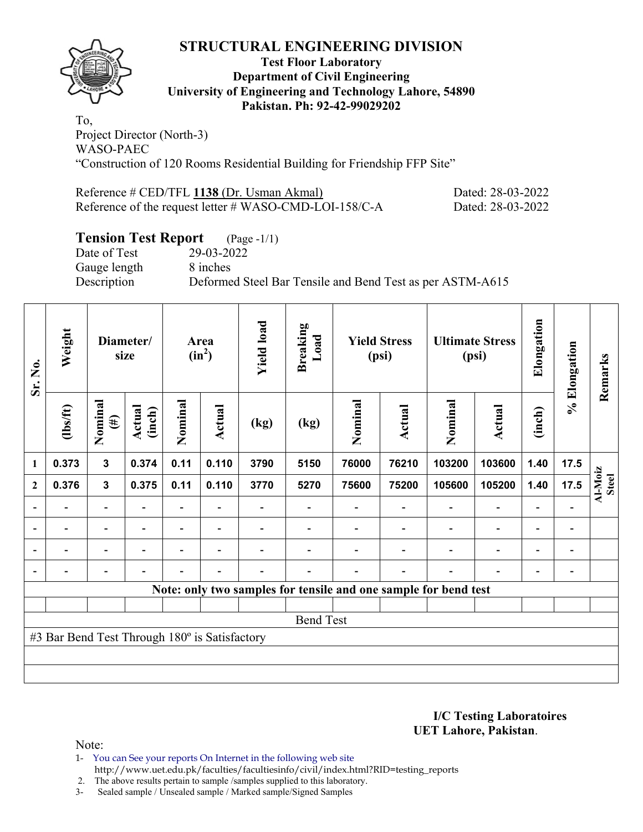

#### **Test Floor Laboratory Department of Civil Engineering University of Engineering and Technology Lahore, 54890 Pakistan. Ph: 92-42-99029202**

To, Project Director (North-3) WASO-PAEC "Construction of 120 Rooms Residential Building for Friendship FFP Site"

| Reference # CED/TFL 1138 (Dr. Usman Akmal)             | Dated: 28-03-2022 |
|--------------------------------------------------------|-------------------|
| Reference of the request letter # WASO-CMD-LOI-158/C-A | Dated: 28-03-2022 |

# **Tension Test Report** (Page -1/1)

Date of Test 29-03-2022 Gauge length 8 inches

Description Deformed Steel Bar Tensile and Bend Test as per ASTM-A615

| Sr. No.                  | Weight                                        | Diameter/<br>size        |                          | <b>Yield load</b><br>Area<br>$(in^2)$ |                          | <b>Breaking</b><br>Load | <b>Yield Stress</b><br>(psi)                                    |         |                          | <b>Ultimate Stress</b><br>(psi) | Elongation               | % Elongation             | Remarks                      |                         |
|--------------------------|-----------------------------------------------|--------------------------|--------------------------|---------------------------------------|--------------------------|-------------------------|-----------------------------------------------------------------|---------|--------------------------|---------------------------------|--------------------------|--------------------------|------------------------------|-------------------------|
|                          | (1bs/ft)                                      | Nominal<br>$(\#)$        | Actual<br>(inch)         | Nominal                               | Actual                   | (kg)                    | (kg)                                                            | Nominal | Actual                   | Nominal                         | Actual                   | (inch)                   |                              |                         |
| 1                        | 0.373                                         | 3                        | 0.374                    | 0.11                                  | 0.110                    | 3790                    | 5150                                                            | 76000   | 76210                    | 103200                          | 103600                   | 1.40                     | 17.5                         |                         |
| $\mathbf{2}$             | 0.376                                         | $\mathbf{3}$             | 0.375                    | 0.11                                  | 0.110                    | 3770                    | 5270                                                            | 75600   | 75200                    | 105600                          | 105200                   | 1.40                     | 17.5                         | Al-Moiz<br><b>Steel</b> |
|                          |                                               |                          |                          |                                       |                          |                         |                                                                 |         |                          |                                 | $\overline{\phantom{0}}$ | $\overline{a}$           |                              |                         |
| $\overline{\phantom{a}}$ |                                               | $\overline{a}$           | $\overline{\phantom{0}}$ | $\overline{\phantom{0}}$              | $\overline{\phantom{a}}$ |                         |                                                                 |         |                          | $\overline{\phantom{0}}$        | $\overline{a}$           | $\overline{\phantom{a}}$ | $\overline{\phantom{a}}$     |                         |
| $\overline{\phantom{a}}$ |                                               | $\overline{\phantom{0}}$ | $\overline{\phantom{0}}$ | $\overline{\phantom{0}}$              | $\overline{\phantom{0}}$ |                         |                                                                 |         |                          | $\overline{\phantom{0}}$        | $\overline{a}$           | $\overline{\phantom{0}}$ | $\qquad \qquad \blacksquare$ |                         |
|                          |                                               | $\overline{\phantom{0}}$ |                          |                                       | $\overline{\phantom{a}}$ |                         |                                                                 |         | $\overline{\phantom{0}}$ | $\blacksquare$                  | $\overline{\phantom{0}}$ | $\overline{\phantom{0}}$ | $\qquad \qquad \blacksquare$ |                         |
|                          |                                               |                          |                          |                                       |                          |                         | Note: only two samples for tensile and one sample for bend test |         |                          |                                 |                          |                          |                              |                         |
|                          |                                               |                          |                          |                                       |                          |                         |                                                                 |         |                          |                                 |                          |                          |                              |                         |
|                          | <b>Bend Test</b>                              |                          |                          |                                       |                          |                         |                                                                 |         |                          |                                 |                          |                          |                              |                         |
|                          | #3 Bar Bend Test Through 180° is Satisfactory |                          |                          |                                       |                          |                         |                                                                 |         |                          |                                 |                          |                          |                              |                         |
|                          |                                               |                          |                          |                                       |                          |                         |                                                                 |         |                          |                                 |                          |                          |                              |                         |
|                          |                                               |                          |                          |                                       |                          |                         |                                                                 |         |                          |                                 |                          |                          |                              |                         |

**I/C Testing Laboratoires UET Lahore, Pakistan**.

Note:

1- You can See your reports On Internet in the following web site http://www.uet.edu.pk/faculties/facultiesinfo/civil/index.html?RID=testing\_reports

2. The above results pertain to sample /samples supplied to this laboratory.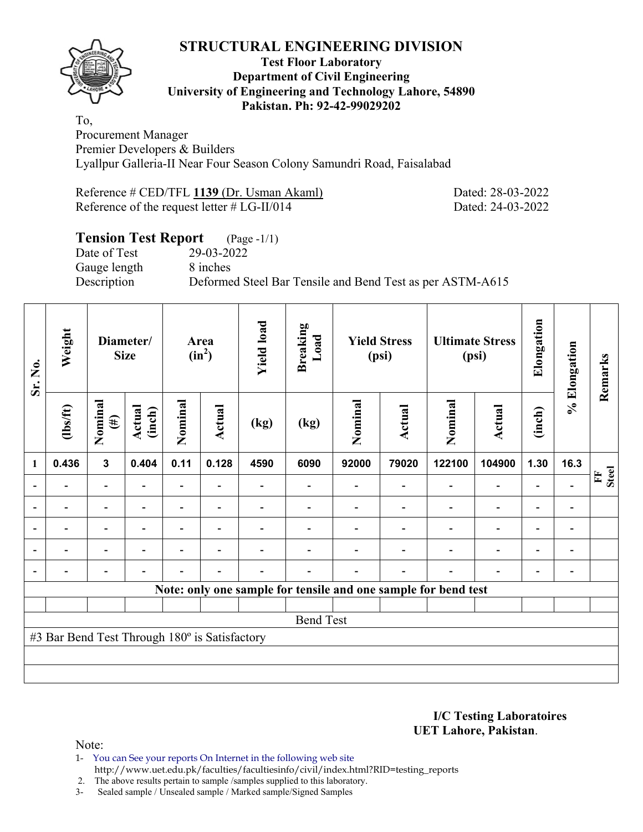

#### **Test Floor Laboratory Department of Civil Engineering University of Engineering and Technology Lahore, 54890 Pakistan. Ph: 92-42-99029202**

To, Procurement Manager Premier Developers & Builders Lyallpur Galleria-II Near Four Season Colony Samundri Road, Faisalabad

| Reference # CED/TFL 1139 (Dr. Usman Akaml)    |  |  |
|-----------------------------------------------|--|--|
| Reference of the request letter $# LG-II/014$ |  |  |

Dated: 28-03-2022 Dated: 24-03-2022

# **Tension Test Report** (Page -1/1) Date of Test 29-03-2022 Gauge length 8 inches Description Deformed Steel Bar Tensile and Bend Test as per ASTM-A615

| Sr. No.                  | Weight                                        |                          | Diameter/<br><b>Size</b> |                          |                          | Area<br>$(in^2)$ |                  | <b>Yield load</b> | <b>Breaking</b><br>Load | <b>Yield Stress</b><br>(psi)                                   |                          |                          | <b>Ultimate Stress</b><br>(psi) | Elongation        | % Elongation | Remarks |
|--------------------------|-----------------------------------------------|--------------------------|--------------------------|--------------------------|--------------------------|------------------|------------------|-------------------|-------------------------|----------------------------------------------------------------|--------------------------|--------------------------|---------------------------------|-------------------|--------------|---------|
|                          | (1bs/ft)                                      | Nominal<br>$(\#)$        | Actual<br>(inch)         | Nominal                  | Actual                   | (kg)             | (kg)             | Nominal           | Actual                  | Nominal                                                        | Actual                   | (inch)                   |                                 |                   |              |         |
| 1                        | 0.436                                         | $\mathbf{3}$             | 0.404                    | 0.11                     | 0.128                    | 4590             | 6090             | 92000             | 79020                   | 122100                                                         | 104900                   | 1.30                     | 16.3                            |                   |              |         |
|                          |                                               | $\overline{\phantom{0}}$ |                          | Ξ.                       |                          |                  |                  |                   |                         | $\blacksquare$                                                 | $\overline{\phantom{0}}$ | $\overline{\phantom{0}}$ |                                 | <b>Steel</b><br>E |              |         |
| $\blacksquare$           |                                               | Ξ.                       | $\blacksquare$           | $\overline{\phantom{0}}$ | $\overline{\phantom{0}}$ |                  |                  |                   |                         | ÷                                                              | $\overline{a}$           | $\overline{\phantom{0}}$ |                                 |                   |              |         |
|                          |                                               | $\blacksquare$           |                          |                          | $\overline{\phantom{0}}$ |                  |                  |                   |                         |                                                                | $\overline{\phantom{0}}$ | $\overline{\phantom{0}}$ |                                 |                   |              |         |
| $\overline{\phantom{0}}$ |                                               | $\overline{\phantom{0}}$ |                          |                          |                          |                  |                  |                   |                         |                                                                | $\overline{a}$           | $\overline{\phantom{0}}$ | $\overline{\phantom{0}}$        |                   |              |         |
| $\overline{a}$           |                                               | $\overline{\phantom{0}}$ |                          |                          |                          |                  |                  |                   |                         | ٠                                                              | $\overline{\phantom{0}}$ | $\overline{\phantom{0}}$ | $\qquad \qquad \blacksquare$    |                   |              |         |
|                          |                                               |                          |                          |                          |                          |                  |                  |                   |                         | Note: only one sample for tensile and one sample for bend test |                          |                          |                                 |                   |              |         |
|                          |                                               |                          |                          |                          |                          |                  |                  |                   |                         |                                                                |                          |                          |                                 |                   |              |         |
|                          |                                               |                          |                          |                          |                          |                  | <b>Bend Test</b> |                   |                         |                                                                |                          |                          |                                 |                   |              |         |
|                          | #3 Bar Bend Test Through 180° is Satisfactory |                          |                          |                          |                          |                  |                  |                   |                         |                                                                |                          |                          |                                 |                   |              |         |
|                          |                                               |                          |                          |                          |                          |                  |                  |                   |                         |                                                                |                          |                          |                                 |                   |              |         |
|                          |                                               |                          |                          |                          |                          |                  |                  |                   |                         |                                                                |                          |                          |                                 |                   |              |         |

**I/C Testing Laboratoires UET Lahore, Pakistan**.

Note:

1- You can See your reports On Internet in the following web site http://www.uet.edu.pk/faculties/facultiesinfo/civil/index.html?RID=testing\_reports

2. The above results pertain to sample /samples supplied to this laboratory.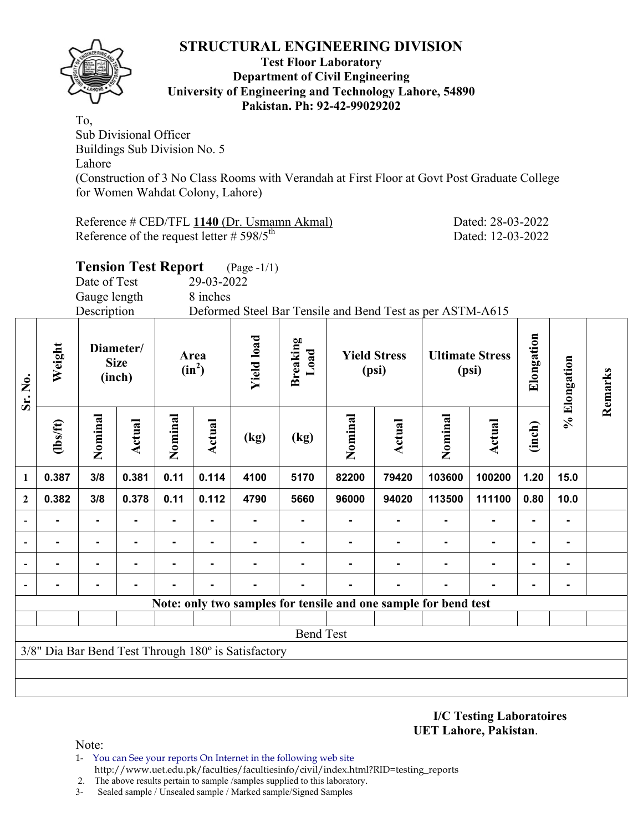

#### **Test Floor Laboratory Department of Civil Engineering University of Engineering and Technology Lahore, 54890 Pakistan. Ph: 92-42-99029202**

To, Sub Divisional Officer Buildings Sub Division No. 5 Lahore (Construction of 3 No Class Rooms with Verandah at First Floor at Govt Post Graduate College for Women Wahdat Colony, Lahore)

Reference # CED/TFL 1140 (Dr. Usmamn Akmal) Dated: 28-03-2022 Reference of the request letter  $\# 598/5^{th}$  Dated: 12-03-2022

|                  |                                                                 | Date of Test<br>Gauge length | <b>Tension Test Report</b>                             |         | 29-03-2022<br>8 inches | $(Page - 1/1)$                                      |                              |         |                                 |                                                           |                |                |         |  |
|------------------|-----------------------------------------------------------------|------------------------------|--------------------------------------------------------|---------|------------------------|-----------------------------------------------------|------------------------------|---------|---------------------------------|-----------------------------------------------------------|----------------|----------------|---------|--|
|                  |                                                                 | Description                  |                                                        |         |                        |                                                     |                              |         |                                 | Deformed Steel Bar Tensile and Bend Test as per ASTM-A615 |                |                |         |  |
| Sr. No.          | Weight                                                          |                              | Diameter/<br>Area<br><b>Size</b><br>$(in^2)$<br>(inch) |         | <b>Yield load</b>      | <b>Breaking</b><br>Load                             | <b>Yield Stress</b><br>(psi) |         | <b>Ultimate Stress</b><br>(psi) | Elongation                                                |                | % Elongation   | Remarks |  |
|                  | $lbsft$                                                         | Nominal                      | Actual                                                 | Nominal | Actual                 | (kg)                                                | (kg)                         | Nominal | Actual                          | Nominal                                                   | Actual         | (inch)         |         |  |
| 1                | 0.387                                                           | 3/8                          | 0.381                                                  | 0.11    | 0.114                  | 4100                                                | 5170                         | 82200   | 79420                           | 103600                                                    | 100200         | 1.20           | 15.0    |  |
| $\boldsymbol{2}$ | 0.382                                                           | 3/8                          | 0.378                                                  | 0.11    | 0.112                  | 4790                                                | 5660                         | 96000   | 94020                           | 113500                                                    | 111100         | 0.80           | 10.0    |  |
| $\blacksquare$   |                                                                 |                              |                                                        |         |                        |                                                     |                              |         |                                 | $\blacksquare$                                            |                |                | ۰       |  |
|                  |                                                                 |                              |                                                        |         |                        |                                                     |                              |         |                                 | $\blacksquare$                                            |                |                |         |  |
|                  |                                                                 | $\blacksquare$               | ۰                                                      |         | $\blacksquare$         |                                                     |                              |         |                                 | $\blacksquare$                                            | $\blacksquare$ | $\blacksquare$ | ۰       |  |
|                  |                                                                 |                              |                                                        |         |                        |                                                     |                              |         |                                 |                                                           |                | $\blacksquare$ | ۰       |  |
|                  |                                                                 |                              |                                                        |         |                        |                                                     |                              |         |                                 |                                                           |                |                |         |  |
|                  | Note: only two samples for tensile and one sample for bend test |                              |                                                        |         |                        |                                                     |                              |         |                                 |                                                           |                |                |         |  |
|                  | <b>Bend Test</b>                                                |                              |                                                        |         |                        |                                                     |                              |         |                                 |                                                           |                |                |         |  |
|                  |                                                                 |                              |                                                        |         |                        | 3/8" Dia Bar Bend Test Through 180° is Satisfactory |                              |         |                                 |                                                           |                |                |         |  |
|                  |                                                                 |                              |                                                        |         |                        |                                                     |                              |         |                                 |                                                           |                |                |         |  |

**I/C Testing Laboratoires UET Lahore, Pakistan**.

- 1- You can See your reports On Internet in the following web site http://www.uet.edu.pk/faculties/facultiesinfo/civil/index.html?RID=testing\_reports
- 2. The above results pertain to sample /samples supplied to this laboratory.
- 3- Sealed sample / Unsealed sample / Marked sample/Signed Samples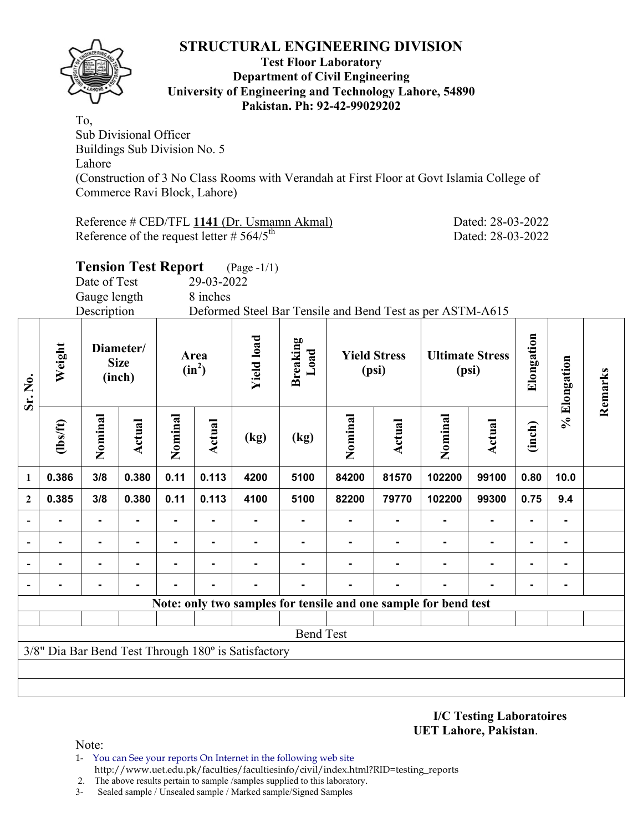

**Sr. No.** 

#### **Test Floor Laboratory Department of Civil Engineering University of Engineering and Technology Lahore, 54890 Pakistan. Ph: 92-42-99029202**

To, Sub Divisional Officer Buildings Sub Division No. 5 Lahore (Construction of 3 No Class Rooms with Verandah at First Floor at Govt Islamia College of Commerce Ravi Block, Lahore)

Reference # CED/TFL 1141 (Dr. Usmamn Akmal) Dated: 28-03-2022 Reference of the request letter  $\# 564/5^{\text{th}}$  Dated: 28-03-2022

**Remarks** 

Remarks

|                         |                |                                    | <b>Tension Test Report</b> |                  |            | $(Page - 1/1)$                        |      |                              |        |                                                           |               |            |             |  |
|-------------------------|----------------|------------------------------------|----------------------------|------------------|------------|---------------------------------------|------|------------------------------|--------|-----------------------------------------------------------|---------------|------------|-------------|--|
|                         |                | Date of Test                       |                            |                  | 29-03-2022 |                                       |      |                              |        |                                                           |               |            |             |  |
|                         |                | Gauge length                       |                            |                  | 8 inches   |                                       |      |                              |        |                                                           |               |            |             |  |
|                         |                | Description                        |                            |                  |            |                                       |      |                              |        | Deformed Steel Bar Tensile and Bend Test as per ASTM-A615 |               |            |             |  |
| $Sr.$ No.               | Weight         | Diameter/<br><b>Size</b><br>(inch) |                            | Area<br>$(in^2)$ |            | <b>Yield load</b><br>Breaking<br>Load |      | <b>Yield Stress</b><br>(psi) |        | <b>Ultimate Stress</b><br>(psi)                           |               | Elongation | Elongation  |  |
|                         | $\frac{2}{10}$ | Nominal                            | <b>Actual</b>              | Nominal          | Actual     | (kg)                                  | (kg) | Nominal                      | Actual | Nominal                                                   | <b>Actual</b> | (inch)     | $\geqslant$ |  |
| $\mathbf{1}$            | 0.386          | 3/8                                | 0.380                      | 0.11             | 0.113      | 4200                                  | 5100 | 84200                        | 81570  | 102200                                                    | 99100         | 0.80       | 10.0        |  |
| $\overline{\mathbf{c}}$ | 0.385          | 3/8                                | 0.380                      | 0.11             | 0.113      | 4100                                  | 5100 | 82200                        | 79770  | 102200                                                    | 99300         | 0.75       | 9.4         |  |
|                         |                |                                    |                            |                  |            |                                       |      |                              |        |                                                           |               |            |             |  |
|                         |                |                                    |                            |                  |            |                                       |      |                              |        |                                                           | ۰.            |            |             |  |
|                         |                |                                    |                            |                  |            |                                       |      |                              |        |                                                           | ۰             |            |             |  |
|                         |                |                                    |                            |                  |            |                                       |      |                              |        |                                                           |               |            |             |  |

**- - - - - - - - - - - - - -** 

**Note: only two samples for tensile and one sample for bend test**

Bend Test

**I/C Testing Laboratoires UET Lahore, Pakistan**.

Note:

- 1- You can See your reports On Internet in the following web site http://www.uet.edu.pk/faculties/facultiesinfo/civil/index.html?RID=testing\_reports
- 2. The above results pertain to sample /samples supplied to this laboratory.
- 3- Sealed sample / Unsealed sample / Marked sample/Signed Samples

3/8" Dia Bar Bend Test Through 180º is Satisfactory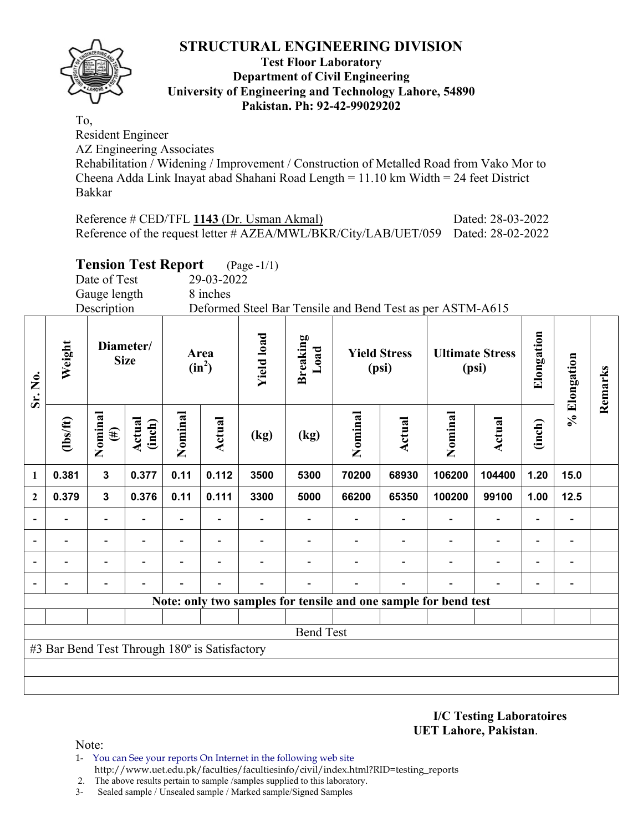#### **Test Floor Laboratory Department of Civil Engineering University of Engineering and Technology Lahore, 54890 Pakistan. Ph: 92-42-99029202**

To,

Resident Engineer

AZ Engineering Associates

Rehabilitation / Widening / Improvement / Construction of Metalled Road from Vako Mor to Cheena Adda Link Inayat abad Shahani Road Length = 11.10 km Width = 24 feet District Bakkar

| Reference # CED/TFL 1143 (Dr. Usman Akmal)                                        | Dated: 28-03-2022 |
|-----------------------------------------------------------------------------------|-------------------|
| Reference of the request letter # AZEA/MWL/BKR/City/LAB/UET/059 Dated: 28-02-2022 |                   |

# **Tension Test Report** (Page -1/1)

Date of Test 29-03-2022 Gauge length 8 inches

Description Deformed Steel Bar Tensile and Bend Test as per ASTM-A615

| Sr. No.                  | Weight                                        | Diameter/<br><b>Size</b> |                          | Area<br>$(in^2)$         |                          | <b>Yield load</b> | <b>Breaking</b><br>Load | <b>Yield Stress</b><br>(psi) |                          | <b>Ultimate Stress</b><br>(psi)                                 |                              | Elongation               | % Elongation                 | Remarks |
|--------------------------|-----------------------------------------------|--------------------------|--------------------------|--------------------------|--------------------------|-------------------|-------------------------|------------------------------|--------------------------|-----------------------------------------------------------------|------------------------------|--------------------------|------------------------------|---------|
|                          | $\frac{2}{10}$                                | Nominal<br>$(\#)$        | Actual<br>(inch)         | Nominal                  | Actual                   | (kg)              | (kg)                    | Nominal                      | Actual                   | Nominal                                                         | <b>Actual</b>                | (inch)                   |                              |         |
| 1                        | 0.381                                         | $\mathbf{3}$             | 0.377                    | 0.11                     | 0.112                    | 3500              | 5300                    | 70200                        | 68930                    | 106200                                                          | 104400                       | 1.20                     | 15.0                         |         |
| $\mathbf{2}$             | 0.379                                         | 3                        | 0.376                    | 0.11                     | 0.111                    | 3300              | 5000                    | 66200                        | 65350                    | 100200                                                          | 99100                        | 1.00                     | 12.5                         |         |
|                          |                                               | $\overline{\phantom{0}}$ |                          | $\overline{\phantom{a}}$ | $\overline{\phantom{a}}$ |                   |                         |                              |                          |                                                                 | $\overline{\phantom{0}}$     | $\overline{\phantom{a}}$ |                              |         |
|                          |                                               | $\overline{\phantom{0}}$ | $\overline{\phantom{0}}$ | -                        | $\overline{\phantom{0}}$ |                   |                         |                              |                          | $\overline{\phantom{0}}$                                        | $\overline{\phantom{0}}$     | $\overline{\phantom{0}}$ | $\qquad \qquad \blacksquare$ |         |
| $\overline{\phantom{0}}$ |                                               | -                        |                          |                          | ۰                        |                   |                         |                              |                          |                                                                 | $\qquad \qquad \blacksquare$ | -                        | $\qquad \qquad \blacksquare$ |         |
| $\overline{\phantom{a}}$ |                                               |                          |                          |                          | ۰                        |                   |                         |                              | $\overline{\phantom{0}}$ | $\overline{\phantom{0}}$                                        |                              | $\overline{\phantom{0}}$ | $\qquad \qquad \blacksquare$ |         |
|                          |                                               |                          |                          |                          |                          |                   |                         |                              |                          | Note: only two samples for tensile and one sample for bend test |                              |                          |                              |         |
|                          |                                               |                          |                          |                          |                          |                   |                         |                              |                          |                                                                 |                              |                          |                              |         |
|                          |                                               |                          |                          |                          |                          |                   | <b>Bend Test</b>        |                              |                          |                                                                 |                              |                          |                              |         |
|                          | #3 Bar Bend Test Through 180° is Satisfactory |                          |                          |                          |                          |                   |                         |                              |                          |                                                                 |                              |                          |                              |         |
|                          |                                               |                          |                          |                          |                          |                   |                         |                              |                          |                                                                 |                              |                          |                              |         |
|                          |                                               |                          |                          |                          |                          |                   |                         |                              |                          |                                                                 |                              |                          |                              |         |

**I/C Testing Laboratoires UET Lahore, Pakistan**.

Note:

- 1- You can See your reports On Internet in the following web site http://www.uet.edu.pk/faculties/facultiesinfo/civil/index.html?RID=testing\_reports
- 2. The above results pertain to sample /samples supplied to this laboratory.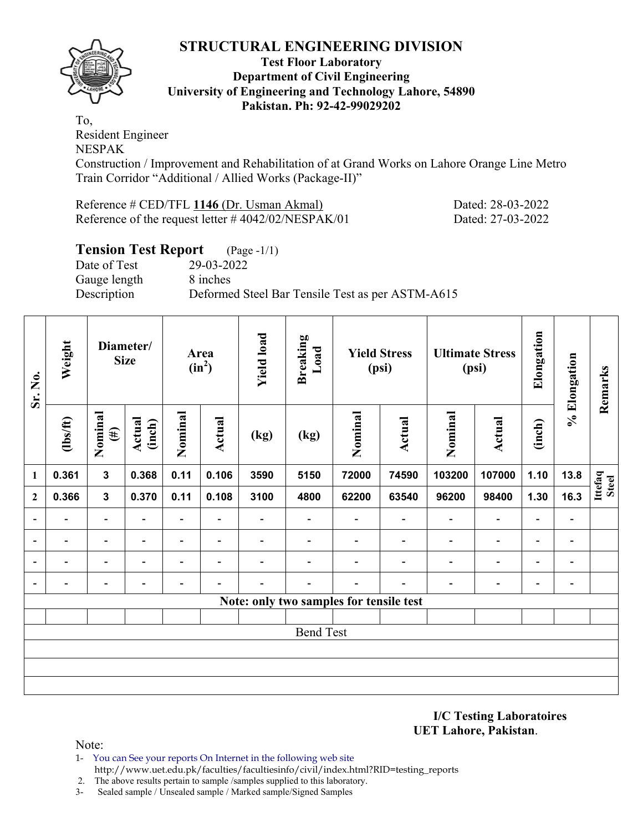

#### **Test Floor Laboratory Department of Civil Engineering University of Engineering and Technology Lahore, 54890 Pakistan. Ph: 92-42-99029202**

To, Resident Engineer NESPAK

Construction / Improvement and Rehabilitation of at Grand Works on Lahore Orange Line Metro Train Corridor "Additional / Allied Works (Package-II)"

Reference # CED/TFL **1146** (Dr. Usman Akmal) Dated: 28-03-2022 Reference of the request letter # 4042/02/NESPAK/01 Dated: 27-03-2022

# **Tension Test Report** (Page -1/1) Date of Test 29-03-2022 Gauge length 8 inches Description Deformed Steel Bar Tensile Test as per ASTM-A615

| Sr. No.                  | Weight<br>Diameter/<br><b>Size</b> |                          |                              | <b>Yield load</b><br>Area<br>$(in^2)$ |                          | <b>Breaking</b><br>Load  | <b>Yield Stress</b><br>(psi)            |         |                          | <b>Ultimate Stress</b><br>(psi) | Elongation                   | % Elongation             | Remarks                      |                         |
|--------------------------|------------------------------------|--------------------------|------------------------------|---------------------------------------|--------------------------|--------------------------|-----------------------------------------|---------|--------------------------|---------------------------------|------------------------------|--------------------------|------------------------------|-------------------------|
|                          | $\frac{2}{10}$                     | Nominal<br>$(\#)$        | Actual<br>(inch)             | Nominal                               | <b>Actual</b>            | (kg)                     | (kg)                                    | Nominal | Actual                   | Nominal                         | <b>Actual</b>                | (inch)                   |                              |                         |
| $\mathbf{1}$             | 0.361                              | $\mathbf{3}$             | 0.368                        | 0.11                                  | 0.106                    | 3590                     | 5150                                    | 72000   | 74590                    | 103200                          | 107000                       | 1.10                     | 13.8                         | Ittefaq<br><b>Steel</b> |
| $\overline{2}$           | 0.366                              | 3                        | 0.370                        | 0.11                                  | 0.108                    | 3100                     | 4800                                    | 62200   | 63540                    | 96200                           | 98400                        | 1.30                     | 16.3                         |                         |
| $\overline{\phantom{a}}$ |                                    | $\overline{\phantom{a}}$ | $\overline{\phantom{0}}$     | $\blacksquare$                        | $\blacksquare$           | $\overline{\phantom{0}}$ | $\overline{\phantom{0}}$                |         | $\overline{\phantom{a}}$ | $\overline{\phantom{0}}$        | $\qquad \qquad \blacksquare$ | $\overline{a}$           | $\qquad \qquad \blacksquare$ |                         |
| $\overline{\phantom{a}}$ |                                    | $\blacksquare$           | $\overline{\phantom{0}}$     | $\overline{\phantom{0}}$              | $\overline{\phantom{0}}$ |                          |                                         |         |                          | $\blacksquare$                  | $\overline{\phantom{0}}$     | $\overline{\phantom{0}}$ | -                            |                         |
| $\blacksquare$           | $\overline{\phantom{0}}$           | $\overline{\phantom{0}}$ | ٠                            | $\overline{\phantom{0}}$              | $\overline{\phantom{0}}$ |                          |                                         |         |                          | $\overline{\phantom{0}}$        | $\overline{\phantom{0}}$     | $\overline{\phantom{0}}$ | $\qquad \qquad \blacksquare$ |                         |
| $\overline{\phantom{a}}$ | -                                  | $\overline{\phantom{0}}$ | $\qquad \qquad \blacksquare$ | -                                     |                          |                          | -                                       | -       | $\overline{\phantom{0}}$ | $\overline{\phantom{a}}$        | $\qquad \qquad \blacksquare$ | -                        | $\qquad \qquad \blacksquare$ |                         |
|                          |                                    |                          |                              |                                       |                          |                          | Note: only two samples for tensile test |         |                          |                                 |                              |                          |                              |                         |
|                          |                                    |                          |                              |                                       |                          |                          |                                         |         |                          |                                 |                              |                          |                              |                         |
|                          |                                    |                          |                              |                                       |                          |                          | <b>Bend Test</b>                        |         |                          |                                 |                              |                          |                              |                         |
|                          |                                    |                          |                              |                                       |                          |                          |                                         |         |                          |                                 |                              |                          |                              |                         |
|                          |                                    |                          |                              |                                       |                          |                          |                                         |         |                          |                                 |                              |                          |                              |                         |
|                          |                                    |                          |                              |                                       |                          |                          |                                         |         |                          |                                 |                              |                          |                              |                         |

**I/C Testing Laboratoires UET Lahore, Pakistan**.

- 1- You can See your reports On Internet in the following web site http://www.uet.edu.pk/faculties/facultiesinfo/civil/index.html?RID=testing\_reports
- 2. The above results pertain to sample /samples supplied to this laboratory.
- 3- Sealed sample / Unsealed sample / Marked sample/Signed Samples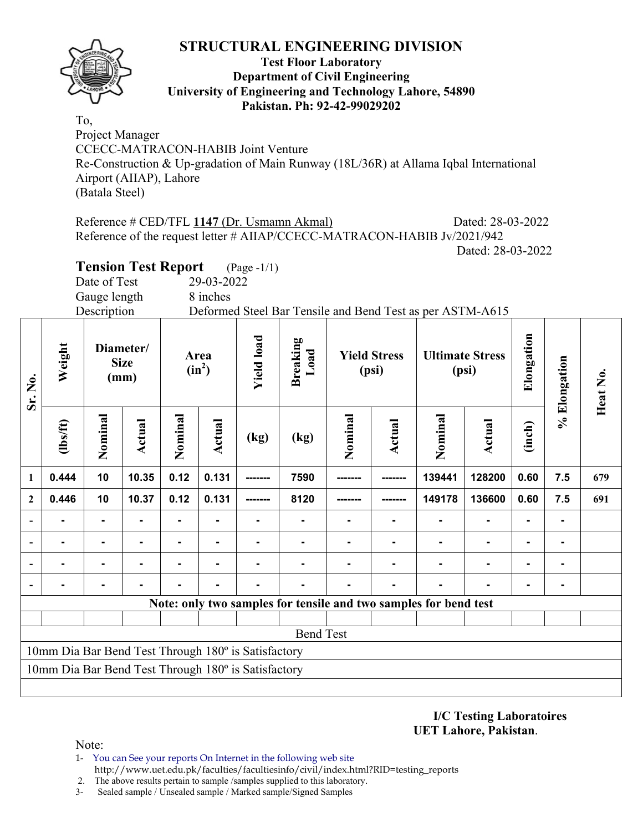

#### **Test Floor Laboratory Department of Civil Engineering University of Engineering and Technology Lahore, 54890 Pakistan. Ph: 92-42-99029202**

To, Project Manager CCECC-MATRACON-HABIB Joint Venture Re-Construction & Up-gradation of Main Runway (18L/36R) at Allama Iqbal International Airport (AIIAP), Lahore (Batala Steel)

Reference # CED/TFL **1147** (Dr. Usmamn Akmal) Dated: 28-03-2022 Reference of the request letter # AIIAP/CCECC-MATRACON-HABIB Jv/2021/942 Dated: 28-03-2022

**Tension Test Report** (Page -1/1)

Date of Test 29-03-2022

Gauge length 8 inches

Description Deformed Steel Bar Tensile and Bend Test as per ASTM-A615

| Sr. No.                                             | Weight                                              |                | <b>Yield load</b><br><b>Breaking</b><br>Diameter/<br>Load<br><b>Yield Stress</b><br>Area<br><b>Size</b><br>$(in^2)$<br>(psi)<br>(mm) |         |               |      | <b>Ultimate Stress</b><br>(psi) | Elongation | % Elongation   | Heat No.                                                         |               |                |                |     |
|-----------------------------------------------------|-----------------------------------------------------|----------------|--------------------------------------------------------------------------------------------------------------------------------------|---------|---------------|------|---------------------------------|------------|----------------|------------------------------------------------------------------|---------------|----------------|----------------|-----|
|                                                     | $\frac{2}{10}$                                      | Nominal        | Actual                                                                                                                               | Nominal | <b>Actual</b> | (kg) | (kg)                            | Nominal    | Actual         | Nominal                                                          | <b>Actual</b> | (inch)         |                |     |
| 1                                                   | 0.444                                               | 10             | 10.35                                                                                                                                | 0.12    | 0.131         |      | 7590                            |            |                | 139441                                                           | 128200        | 0.60           | 7.5            | 679 |
| $\boldsymbol{2}$                                    | 0.446                                               | 10             | 10.37                                                                                                                                | 0.12    | 0.131         |      | 8120                            |            |                | 149178                                                           | 136600        | 0.60           | 7.5            | 691 |
|                                                     |                                                     |                |                                                                                                                                      |         |               |      |                                 |            | ۰              |                                                                  |               |                | $\blacksquare$ |     |
|                                                     |                                                     | ۰              |                                                                                                                                      | ۰.      |               |      | $\blacksquare$                  |            | $\blacksquare$ | $\blacksquare$                                                   |               |                | $\blacksquare$ |     |
|                                                     | $\blacksquare$                                      | $\blacksquare$ |                                                                                                                                      | ۰       |               |      |                                 |            | Ξ.             | $\blacksquare$                                                   | ۰             | $\blacksquare$ | $\blacksquare$ |     |
|                                                     |                                                     |                |                                                                                                                                      |         |               |      |                                 |            | $\blacksquare$ |                                                                  |               |                |                |     |
|                                                     |                                                     |                |                                                                                                                                      |         |               |      |                                 |            |                | Note: only two samples for tensile and two samples for bend test |               |                |                |     |
|                                                     |                                                     |                |                                                                                                                                      |         |               |      |                                 |            |                |                                                                  |               |                |                |     |
|                                                     | <b>Bend Test</b>                                    |                |                                                                                                                                      |         |               |      |                                 |            |                |                                                                  |               |                |                |     |
| 10mm Dia Bar Bend Test Through 180° is Satisfactory |                                                     |                |                                                                                                                                      |         |               |      |                                 |            |                |                                                                  |               |                |                |     |
|                                                     | 10mm Dia Bar Bend Test Through 180° is Satisfactory |                |                                                                                                                                      |         |               |      |                                 |            |                |                                                                  |               |                |                |     |
|                                                     |                                                     |                |                                                                                                                                      |         |               |      |                                 |            |                |                                                                  |               |                |                |     |

**I/C Testing Laboratoires UET Lahore, Pakistan**.

- 1- You can See your reports On Internet in the following web site http://www.uet.edu.pk/faculties/facultiesinfo/civil/index.html?RID=testing\_reports
- 2. The above results pertain to sample /samples supplied to this laboratory.
- 
- 3- Sealed sample / Unsealed sample / Marked sample/Signed Samples